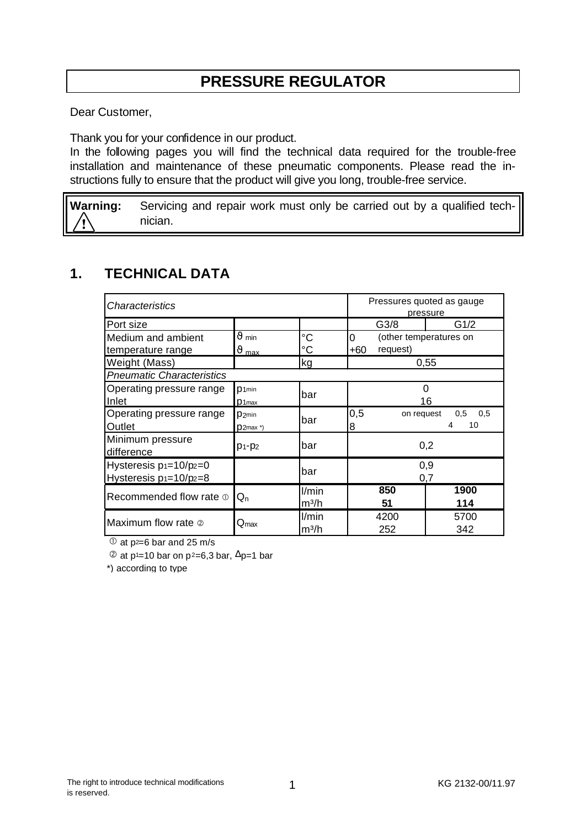# **PRESSURE REGULATOR**

Dear Customer,

Thank you for your confidence in our product.

In the following pages you will find the technical data required for the trouble-free installation and maintenance of these pneumatic components. Please read the instructions fully to ensure that the product will give you long, trouble-free service.

**Warning:** Servicing and repair work must only be carried out by a qualified technician.

### **1. TECHNICAL DATA**

| <i><b>Characteristics</b></i>                              |                             |             | Pressures quoted as gauge<br>pressure               |      |
|------------------------------------------------------------|-----------------------------|-------------|-----------------------------------------------------|------|
| Port size                                                  |                             |             | G3/8                                                | G1/2 |
| Medium and ambient                                         | $\vartheta$ min             | $^{\circ}C$ | 0<br>(other temperatures on                         |      |
| temperature range                                          | $\vartheta$ max             | °C          | request)<br>$+60$                                   |      |
| Weight (Mass)                                              |                             | kg          | 0,55                                                |      |
| <b>Pneumatic Characteristics</b>                           |                             |             |                                                     |      |
| Operating pressure range                                   | D1min                       | bar         | O<br>16                                             |      |
| Inlet                                                      | D <sub>1max</sub>           |             |                                                     |      |
| Operating pressure range                                   | D <sub>2min</sub>           | bar         | 0,5<br>on request<br>$0.5\quad 0.5$<br>10<br>4<br>8 |      |
| Outlet                                                     | $D2$ max *)                 |             |                                                     |      |
| Minimum pressure<br>difference                             | $p_1 - p_2$                 | bar         | 0,2                                                 |      |
| Hysteresis $p_1=10/p_2=0$<br>Hysteresis $p_1 = 10/p_2 = 8$ |                             | bar         | 0,9<br>0,7                                          |      |
| Recommended flow rate $\Phi$                               | $Q_{n}$                     | l/min       | 850                                                 | 1900 |
|                                                            |                             | $m^3/h$     | 51                                                  | 114  |
| Maximum flow rate 2                                        | $\mathsf{Q}_{\textsf{max}}$ | l/min       | 4200                                                | 5700 |
|                                                            |                             | $m^3/h$     | 252                                                 | 342  |

 $\textcircled{1}$  at p<sup>2=6</sup> bar and 25 m/s

 $\textcircled{2}$  at p<sup>1</sup>=10 bar on p<sup>2</sup>=6,3 bar,  $\Delta$ p=1 bar

\*) according to type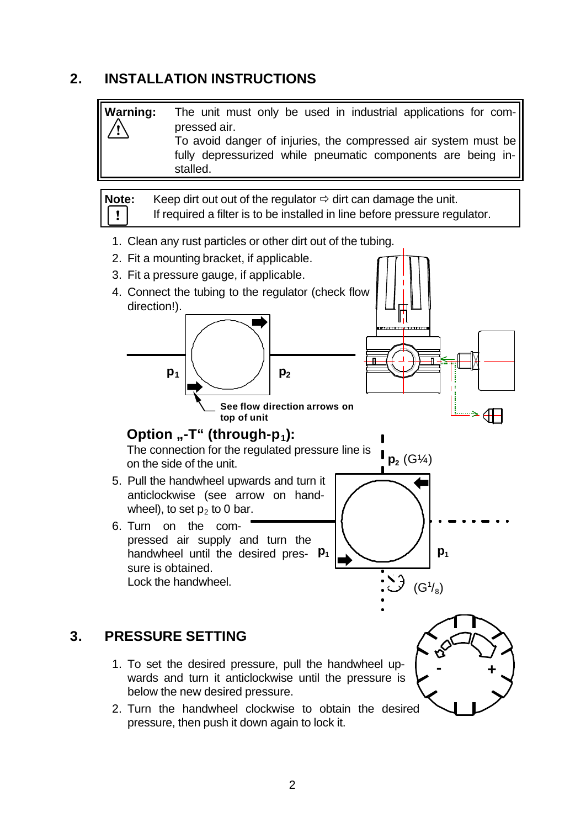#### **2. INSTALLATION INSTRUCTIONS**

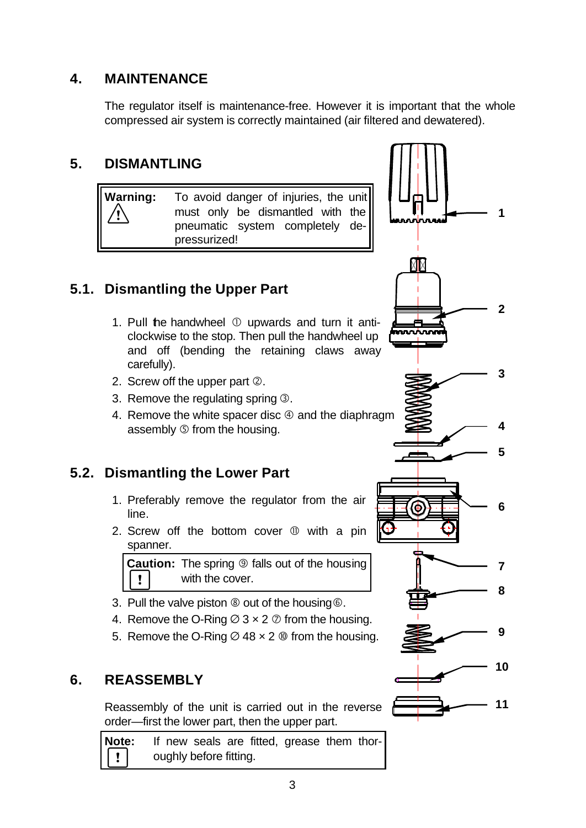### **4. MAINTENANCE**

The regulator itself is maintenance-free. However it is important that the whole compressed air system is correctly maintained (air filtered and dewatered).

### **5. DISMANTLING**



## **5.1. Dismantling the Upper Part**

- 1. Pull the handwheel  $\mathbb O$  upwards and turn it anticlockwise to the stop. Then pull the handwheel up and off (bending the retaining claws away carefully).
- 2. Screw off the upper part 2.
- 3. Remove the regulating spring  $\circled{3}$ .
- 4. Remove the white spacer disc  $\Phi$  and the diaphragm assembly Ö from the housing.

## **5.2. Dismantling the Lower Part**

- 1. Preferably remove the regulator from the air line.
- 2. Screw off the bottom cover  $$\textcircled{1}$  with a pin$ spanner.

**Caution:** The spring **<b>D** falls out of the housing  $\pmb{\mathsf{v}}$ with the cover.

- 3. Pull the valve piston  $\circledast$  out of the housing  $\circledast$ .
- 4. Remove the O-Ring  $\varnothing$  3  $\times$  2  $\varnothing$  from the housing.
- 5. Remove the O-Ring  $\varnothing$  48  $\times$  2  $\varnothing$  from the housing.

## **6. REASSEMBLY**

Reassembly of the unit is carried out in the reverse order—first the lower part, then the upper part.

**Note:** If new seals are fitted, grease them thoroughly before fitting.  $\mathbf{I}$ 

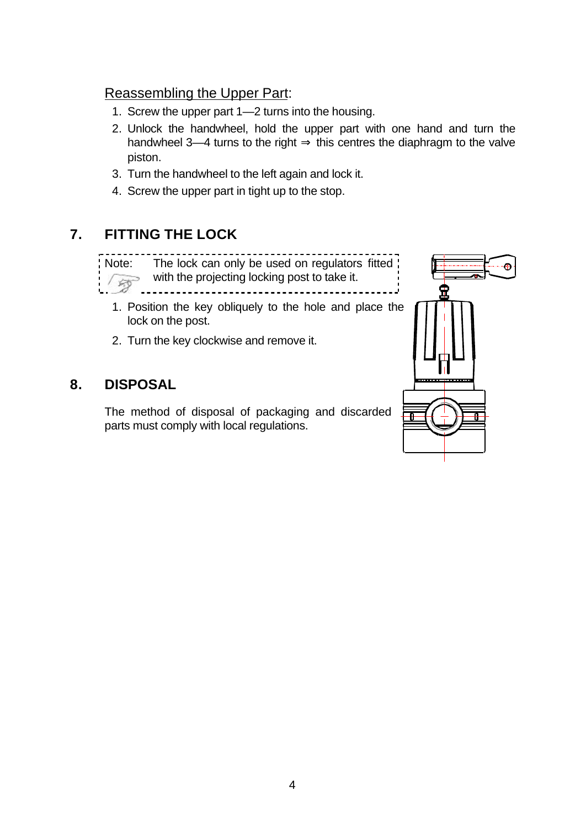#### Reassembling the Upper Part:

- 1. Screw the upper part 1—2 turns into the housing.
- 2. Unlock the handwheel, hold the upper part with one hand and turn the handwheel 3—4 turns to the right  $\Rightarrow$  this centres the diaphragm to the valve piston.
- 3. Turn the handwheel to the left again and lock it.
- 4. Screw the upper part in tight up to the stop.

## **7. FITTING THE LOCK**

Note: The lock can only be used on regulators fitted with the projecting locking post to take it. $\overline{\mathbb{R}^n}$ 

- 1. Position the key obliquely to the hole and place the lock on the post.
- 2. Turn the key clockwise and remove it.

## **8. DISPOSAL**

The method of disposal of packaging and discarded parts must comply with local regulations.